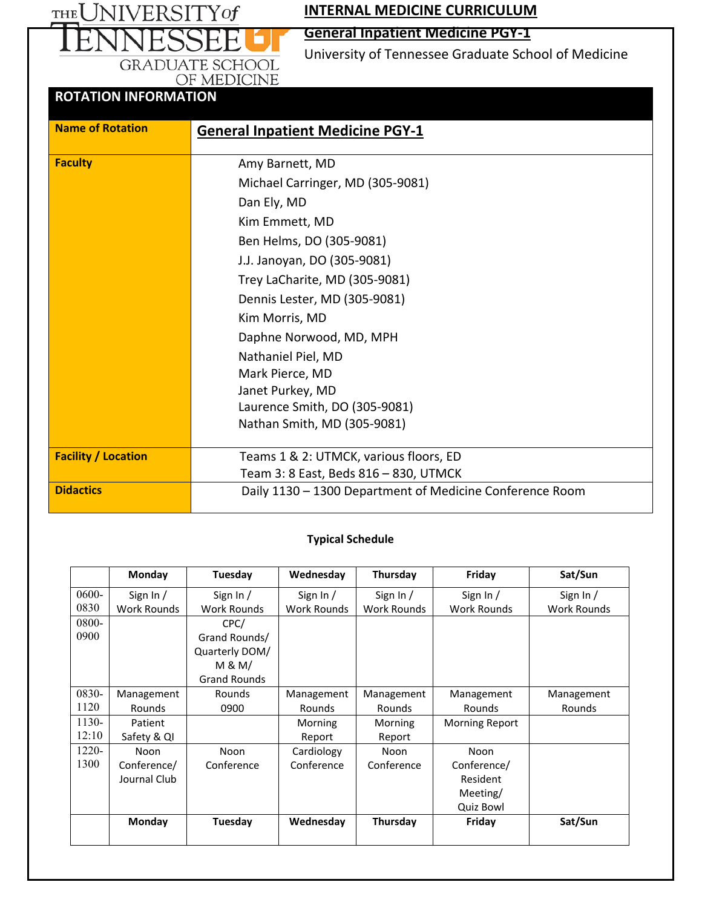THE UNIVERSITY of **INTERNAL MEDICINE CURRICULUM**

# **General Inpatient Medicine PGY-1**

University of Tennessee Graduate School of Medicine

# GRADUATE SCHOOL OF MEDICINE **ROTATION INFORMATION**

| <b>Name of Rotation</b>    | <b>General Inpatient Medicine PGY-1</b>                  |
|----------------------------|----------------------------------------------------------|
|                            |                                                          |
| <b>Faculty</b>             | Amy Barnett, MD                                          |
|                            | Michael Carringer, MD (305-9081)                         |
|                            | Dan Ely, MD                                              |
|                            | Kim Emmett, MD                                           |
|                            | Ben Helms, DO (305-9081)                                 |
|                            | J.J. Janoyan, DO (305-9081)                              |
|                            | Trey LaCharite, MD (305-9081)                            |
|                            | Dennis Lester, MD (305-9081)                             |
|                            | Kim Morris, MD                                           |
|                            | Daphne Norwood, MD, MPH                                  |
|                            | Nathaniel Piel, MD                                       |
|                            | Mark Pierce, MD                                          |
|                            | Janet Purkey, MD                                         |
|                            | Laurence Smith, DO (305-9081)                            |
|                            | Nathan Smith, MD (305-9081)                              |
| <b>Facility / Location</b> | Teams 1 & 2: UTMCK, various floors, ED                   |
|                            | Team 3: 8 East, Beds 816 - 830, UTMCK                    |
| <b>Didactics</b>           | Daily 1130 - 1300 Department of Medicine Conference Room |
|                            |                                                          |

#### **Typical Schedule**

|       | Monday       | Tuesday             | Wednesday          | Thursday           | Friday                | Sat/Sun     |
|-------|--------------|---------------------|--------------------|--------------------|-----------------------|-------------|
| 0600- | Sign In $/$  | Sign In /           | Sign In $/$        | Sign In $/$        | Sign In $/$           | Sign In $/$ |
| 0830  | Work Rounds  | Work Rounds         | <b>Work Rounds</b> | <b>Work Rounds</b> | <b>Work Rounds</b>    | Work Rounds |
| 0800- |              | CPC/                |                    |                    |                       |             |
| 0900  |              | Grand Rounds/       |                    |                    |                       |             |
|       |              | Quarterly DOM/      |                    |                    |                       |             |
|       |              | M & M/              |                    |                    |                       |             |
|       |              | <b>Grand Rounds</b> |                    |                    |                       |             |
| 0830- | Management   | Rounds              | Management         | Management         | Management            | Management  |
| 1120  | Rounds       | 0900                | <b>Rounds</b>      | <b>Rounds</b>      | Rounds                | Rounds      |
| 1130- | Patient      |                     | Morning            | Morning            | <b>Morning Report</b> |             |
| 12:10 | Safety & QI  |                     | Report             | Report             |                       |             |
| 1220- | Noon         | Noon                | Cardiology         | Noon               | Noon                  |             |
| 1300  | Conference/  | Conference          | Conference         | Conference         | Conference/           |             |
|       | Journal Club |                     |                    |                    | Resident              |             |
|       |              |                     |                    |                    | Meeting/              |             |
|       |              |                     |                    |                    | <b>Quiz Bowl</b>      |             |
|       | Monday       | Tuesday             | Wednesday          | Thursday           | Friday                | Sat/Sun     |
|       |              |                     |                    |                    |                       |             |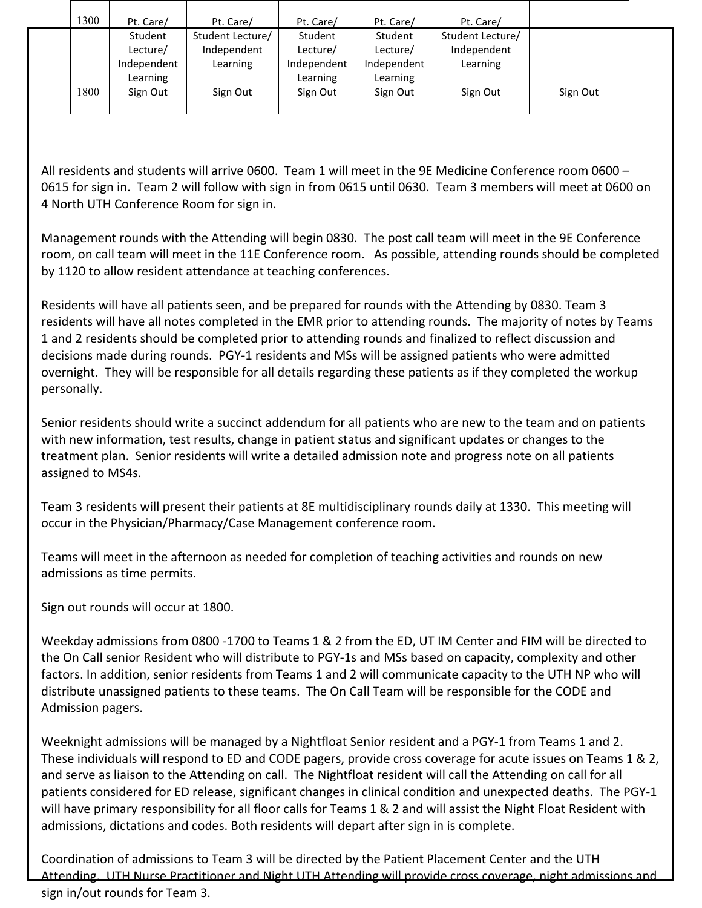| 1300 | Pt. Care/   | Pt. Care/        | Pt. Care/   | Pt. Care/   | Pt. Care/        |          |
|------|-------------|------------------|-------------|-------------|------------------|----------|
|      | Student     | Student Lecture/ | Student     | Student     | Student Lecture/ |          |
|      | Lecture/    | Independent      | Lecture/    | Lecture/    | Independent      |          |
|      | Independent | Learning         | Independent | Independent | Learning         |          |
|      | Learning    |                  | Learning    | Learning    |                  |          |
| 1800 | Sign Out    | Sign Out         | Sign Out    | Sign Out    | Sign Out         | Sign Out |
|      |             |                  |             |             |                  |          |

All residents and students will arrive 0600. Team 1 will meet in the 9E Medicine Conference room 0600 – 0615 for sign in. Team 2 will follow with sign in from 0615 until 0630. Team 3 members will meet at 0600 on 4 North UTH Conference Room for sign in.

Management rounds with the Attending will begin 0830. The post call team will meet in the 9E Conference room, on call team will meet in the 11E Conference room. As possible, attending rounds should be completed by 1120 to allow resident attendance at teaching conferences.

Residents will have all patients seen, and be prepared for rounds with the Attending by 0830. Team 3 residents will have all notes completed in the EMR prior to attending rounds. The majority of notes by Teams 1 and 2 residents should be completed prior to attending rounds and finalized to reflect discussion and decisions made during rounds. PGY-1 residents and MSs will be assigned patients who were admitted overnight. They will be responsible for all details regarding these patients as if they completed the workup personally.

Senior residents should write a succinct addendum for all patients who are new to the team and on patients with new information, test results, change in patient status and significant updates or changes to the treatment plan. Senior residents will write a detailed admission note and progress note on all patients assigned to MS4s.

Team 3 residents will present their patients at 8E multidisciplinary rounds daily at 1330. This meeting will occur in the Physician/Pharmacy/Case Management conference room.

Teams will meet in the afternoon as needed for completion of teaching activities and rounds on new admissions as time permits.

Sign out rounds will occur at 1800.

Weekday admissions from 0800 -1700 to Teams 1 & 2 from the ED, UT IM Center and FIM will be directed to the On Call senior Resident who will distribute to PGY-1s and MSs based on capacity, complexity and other factors. In addition, senior residents from Teams 1 and 2 will communicate capacity to the UTH NP who will distribute unassigned patients to these teams. The On Call Team will be responsible for the CODE and Admission pagers.

Weeknight admissions will be managed by a Nightfloat Senior resident and a PGY-1 from Teams 1 and 2. These individuals will respond to ED and CODE pagers, provide cross coverage for acute issues on Teams 1 & 2, and serve as liaison to the Attending on call. The Nightfloat resident will call the Attending on call for all patients considered for ED release, significant changes in clinical condition and unexpected deaths. The PGY-1 will have primary responsibility for all floor calls for Teams 1 & 2 and will assist the Night Float Resident with admissions, dictations and codes. Both residents will depart after sign in is complete.

Coordination of admissions to Team 3 will be directed by the Patient Placement Center and the UTH Attending. UTH Nurse Practitioner and Night UTH Attending will provide cross coverage, night admissions and sign in/out rounds for Team 3.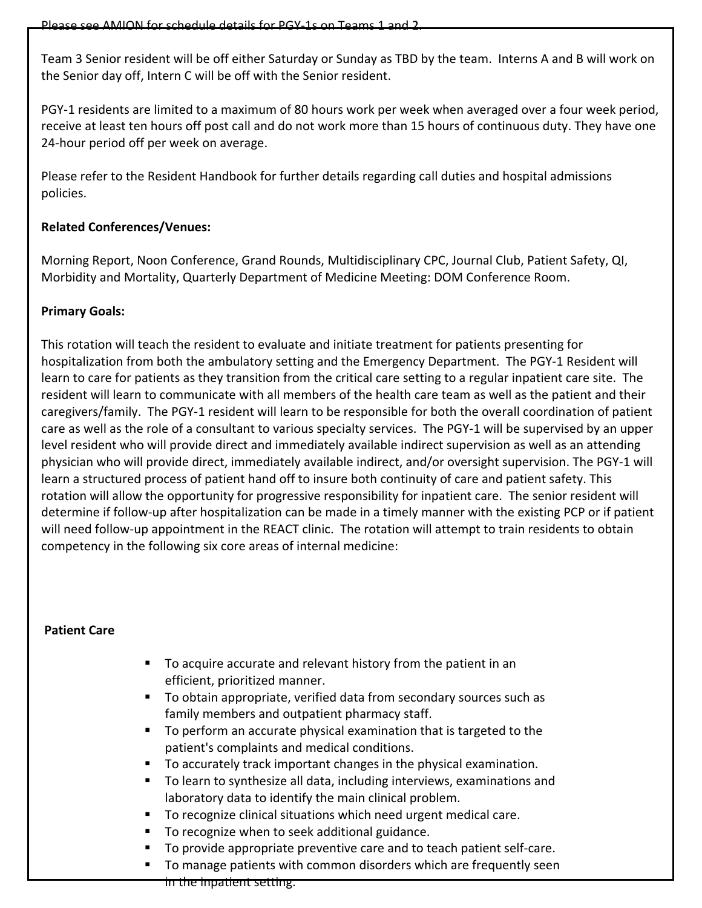Team 3 Senior resident will be off either Saturday or Sunday as TBD by the team. Interns A and B will work on the Senior day off, Intern C will be off with the Senior resident.

PGY-1 residents are limited to a maximum of 80 hours work per week when averaged over a four week period, receive at least ten hours off post call and do not work more than 15 hours of continuous duty. They have one 24-hour period off per week on average.

Please refer to the Resident Handbook for further details regarding call duties and hospital admissions policies.

### **Related Conferences/Venues:**

Morning Report, Noon Conference, Grand Rounds, Multidisciplinary CPC, Journal Club, Patient Safety, QI, Morbidity and Mortality, Quarterly Department of Medicine Meeting: DOM Conference Room.

### **Primary Goals:**

This rotation will teach the resident to evaluate and initiate treatment for patients presenting for hospitalization from both the ambulatory setting and the Emergency Department. The PGY-1 Resident will learn to care for patients as they transition from the critical care setting to a regular inpatient care site. The resident will learn to communicate with all members of the health care team as well as the patient and their caregivers/family. The PGY-1 resident will learn to be responsible for both the overall coordination of patient care as well as the role of a consultant to various specialty services. The PGY-1 will be supervised by an upper level resident who will provide direct and immediately available indirect supervision as well as an attending physician who will provide direct, immediately available indirect, and/or oversight supervision. The PGY-1 will learn a structured process of patient hand off to insure both continuity of care and patient safety. This rotation will allow the opportunity for progressive responsibility for inpatient care. The senior resident will determine if follow-up after hospitalization can be made in a timely manner with the existing PCP or if patient will need follow-up appointment in the REACT clinic. The rotation will attempt to train residents to obtain competency in the following six core areas of internal medicine:

### **Patient Care**

- To acquire accurate and relevant history from the patient in an efficient, prioritized manner.
- To obtain appropriate, verified data from secondary sources such as family members and outpatient pharmacy staff.
- To perform an accurate physical examination that is targeted to the patient's complaints and medical conditions.
- To accurately track important changes in the physical examination.
- To learn to synthesize all data, including interviews, examinations and laboratory data to identify the main clinical problem.
- To recognize clinical situations which need urgent medical care.
- To recognize when to seek additional guidance.
- To provide appropriate preventive care and to teach patient self-care.
- To manage patients with common disorders which are frequently seen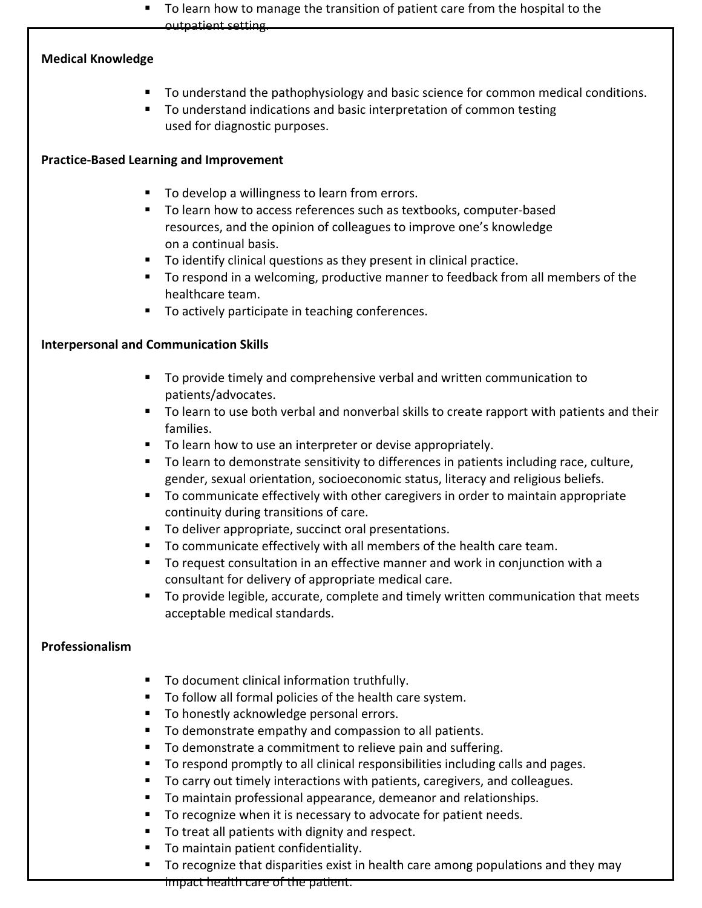$\blacksquare$  To learn how to manage the transition of patient care from the hospital to the outpatient setting.

### **Medical Knowledge**

- To understand the pathophysiology and basic science for common medical conditions.
- To understand indications and basic interpretation of common testing used for diagnostic purposes.

### **Practice-Based Learning and Improvement**

- To develop a willingness to learn from errors.
- To learn how to access references such as textbooks, computer-based resources, and the opinion of colleagues to improve one's knowledge on a continual basis.
- To identify clinical questions as they present in clinical practice.
- To respond in a welcoming, productive manner to feedback from all members of the healthcare team.
- To actively participate in teaching conferences.

### **Interpersonal and Communication Skills**

- To provide timely and comprehensive verbal and written communication to patients/advocates.
- To learn to use both verbal and nonverbal skills to create rapport with patients and their families.
- To learn how to use an interpreter or devise appropriately.
- To learn to demonstrate sensitivity to differences in patients including race, culture, gender, sexual orientation, socioeconomic status, literacy and religious beliefs.
- To communicate effectively with other caregivers in order to maintain appropriate continuity during transitions of care.
- **To deliver appropriate, succinct oral presentations.**
- To communicate effectively with all members of the health care team.
- To request consultation in an effective manner and work in conjunction with a consultant for delivery of appropriate medical care.
- **To provide legible, accurate, complete and timely written communication that meets** acceptable medical standards.

# **Professionalism**

- **To document clinical information truthfully.**
- To follow all formal policies of the health care system.
- To honestly acknowledge personal errors.
- To demonstrate empathy and compassion to all patients.
- To demonstrate a commitment to relieve pain and suffering.
- To respond promptly to all clinical responsibilities including calls and pages.
- To carry out timely interactions with patients, caregivers, and colleagues.
- To maintain professional appearance, demeanor and relationships.
- To recognize when it is necessary to advocate for patient needs.
- To treat all patients with dignity and respect.
- **To maintain patient confidentiality.**
- To recognize that disparities exist in health care among populations and they may

impact health care of the patient.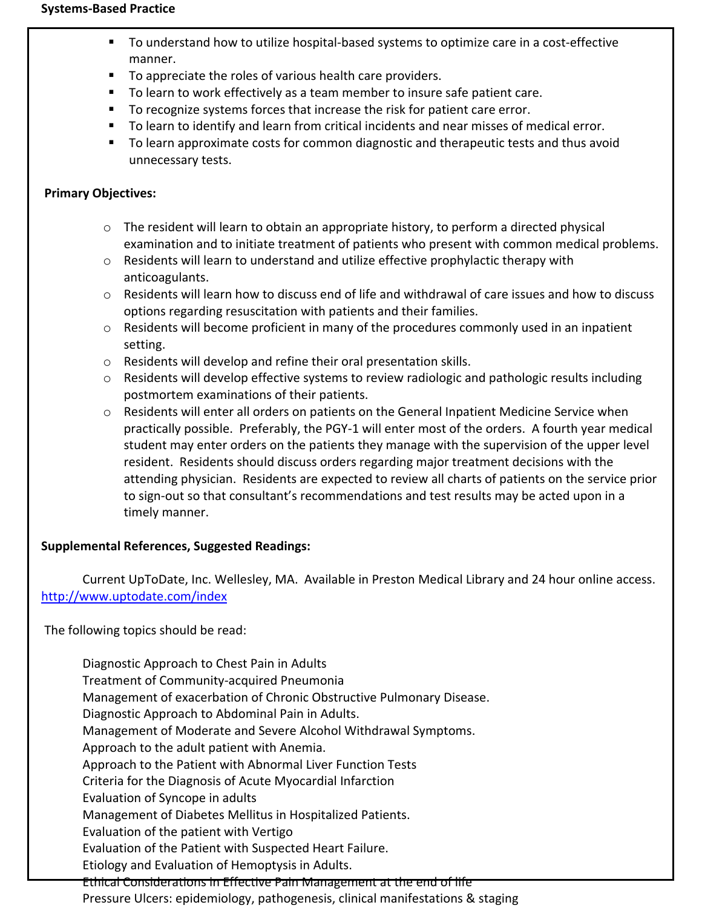#### **Systems-Based Practice**

- To understand how to utilize hospital-based systems to optimize care in a cost-effective manner.
- To appreciate the roles of various health care providers.
- To learn to work effectively as a team member to insure safe patient care.
- To recognize systems forces that increase the risk for patient care error.
- To learn to identify and learn from critical incidents and near misses of medical error.
- To learn approximate costs for common diagnostic and therapeutic tests and thus avoid unnecessary tests.

### **Primary Objectives:**

- $\circ$  The resident will learn to obtain an appropriate history, to perform a directed physical examination and to initiate treatment of patients who present with common medical problems.
- $\circ$  Residents will learn to understand and utilize effective prophylactic therapy with anticoagulants.
- o Residents will learn how to discuss end of life and withdrawal of care issues and how to discuss options regarding resuscitation with patients and their families.
- o Residents will become proficient in many of the procedures commonly used in an inpatient setting.
- o Residents will develop and refine their oral presentation skills.
- o Residents will develop effective systems to review radiologic and pathologic results including postmortem examinations of their patients.
- $\circ$  Residents will enter all orders on patients on the General Inpatient Medicine Service when practically possible. Preferably, the PGY-1 will enter most of the orders. A fourth year medical student may enter orders on the patients they manage with the supervision of the upper level resident. Residents should discuss orders regarding major treatment decisions with the attending physician. Residents are expected to review all charts of patients on the service prior to sign-out so that consultant's recommendations and test results may be acted upon in a timely manner.

### **Supplemental References, Suggested Readings:**

Current UpToDate, Inc. Wellesley, MA. Available in Preston Medical Library and 24 hour online access. <http://www.uptodate.com/index>

The following topics should be read:

Diagnostic Approach to Chest Pain in Adults Treatment of Community-acquired Pneumonia Management of exacerbation of Chronic Obstructive Pulmonary Disease. Diagnostic Approach to Abdominal Pain in Adults. Management of Moderate and Severe Alcohol Withdrawal Symptoms. Approach to the adult patient with Anemia. Approach to the Patient with Abnormal Liver Function Tests Criteria for the Diagnosis of Acute Myocardial Infarction Evaluation of Syncope in adults Management of Diabetes Mellitus in Hospitalized Patients. Evaluation of the patient with Vertigo Evaluation of the Patient with Suspected Heart Failure. Etiology and Evaluation of Hemoptysis in Adults. Ethical Considerations in Effective Pain Management at the end of life Pressure Ulcers: epidemiology, pathogenesis, clinical manifestations & staging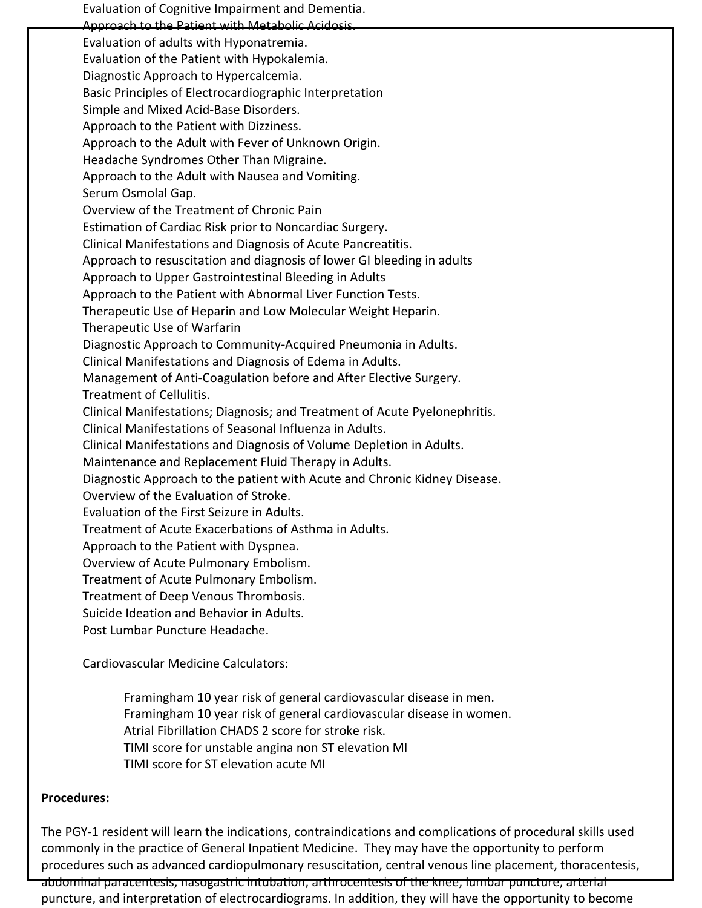Evaluation of Cognitive Impairment and Dementia. Approach to the Patient with Metabolic Acidosis. Evaluation of adults with Hyponatremia. Evaluation of the Patient with Hypokalemia. Diagnostic Approach to Hypercalcemia. Basic Principles of Electrocardiographic Interpretation Simple and Mixed Acid-Base Disorders. Approach to the Patient with Dizziness. Approach to the Adult with Fever of Unknown Origin. Headache Syndromes Other Than Migraine. Approach to the Adult with Nausea and Vomiting. Serum Osmolal Gap. Overview of the Treatment of Chronic Pain Estimation of Cardiac Risk prior to Noncardiac Surgery. Clinical Manifestations and Diagnosis of Acute Pancreatitis. Approach to resuscitation and diagnosis of lower GI bleeding in adults Approach to Upper Gastrointestinal Bleeding in Adults Approach to the Patient with Abnormal Liver Function Tests. Therapeutic Use of Heparin and Low Molecular Weight Heparin. Therapeutic Use of Warfarin Diagnostic Approach to Community-Acquired Pneumonia in Adults. Clinical Manifestations and Diagnosis of Edema in Adults. Management of Anti-Coagulation before and After Elective Surgery. Treatment of Cellulitis. Clinical Manifestations; Diagnosis; and Treatment of Acute Pyelonephritis. Clinical Manifestations of Seasonal Influenza in Adults. Clinical Manifestations and Diagnosis of Volume Depletion in Adults. Maintenance and Replacement Fluid Therapy in Adults. Diagnostic Approach to the patient with Acute and Chronic Kidney Disease. Overview of the Evaluation of Stroke. Evaluation of the First Seizure in Adults. Treatment of Acute Exacerbations of Asthma in Adults. Approach to the Patient with Dyspnea. Overview of Acute Pulmonary Embolism. Treatment of Acute Pulmonary Embolism. Treatment of Deep Venous Thrombosis. Suicide Ideation and Behavior in Adults. Post Lumbar Puncture Headache.

Cardiovascular Medicine Calculators:

Framingham 10 year risk of general cardiovascular disease in men. Framingham 10 year risk of general cardiovascular disease in women. Atrial Fibrillation CHADS 2 score for stroke risk. TIMI score for unstable angina non ST elevation MI TIMI score for ST elevation acute MI

#### **Procedures:**

The PGY-1 resident will learn the indications, contraindications and complications of procedural skills used commonly in the practice of General Inpatient Medicine. They may have the opportunity to perform procedures such as advanced cardiopulmonary resuscitation, central venous line placement, thoracentesis, abdominal paracentesis, nasogastric intubation, arthrocentesis of the knee, lumbar puncture, arterial puncture, and interpretation of electrocardiograms. In addition, they will have the opportunity to become